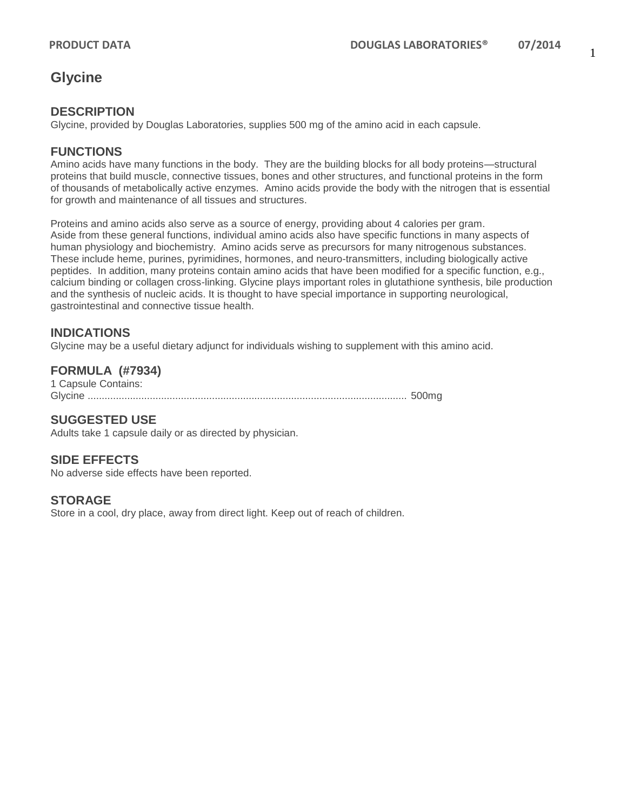## **Glycine**

#### **DESCRIPTION**

Glycine, provided by Douglas Laboratories, supplies 500 mg of the amino acid in each capsule.

#### **FUNCTIONS**

Amino acids have many functions in the body. They are the building blocks for all body proteins—structural proteins that build muscle, connective tissues, bones and other structures, and functional proteins in the form of thousands of metabolically active enzymes. Amino acids provide the body with the nitrogen that is essential for growth and maintenance of all tissues and structures.

Proteins and amino acids also serve as a source of energy, providing about 4 calories per gram. Aside from these general functions, individual amino acids also have specific functions in many aspects of human physiology and biochemistry. Amino acids serve as precursors for many nitrogenous substances. These include heme, purines, pyrimidines, hormones, and neuro-transmitters, including biologically active peptides. In addition, many proteins contain amino acids that have been modified for a specific function, e.g., calcium binding or collagen cross-linking. Glycine plays important roles in glutathione synthesis, bile production and the synthesis of nucleic acids. It is thought to have special importance in supporting neurological, gastrointestinal and connective tissue health.

### **INDICATIONS**

Glycine may be a useful dietary adjunct for individuals wishing to supplement with this amino acid.

#### **FORMULA (#7934)**

1 Capsule Contains: Glycine ................................................................................................................. 500mg

#### **SUGGESTED USE**

Adults take 1 capsule daily or as directed by physician.

#### **SIDE EFFECTS**

No adverse side effects have been reported.

**STORAGE**

Store in a cool, dry place, away from direct light. Keep out of reach of children.